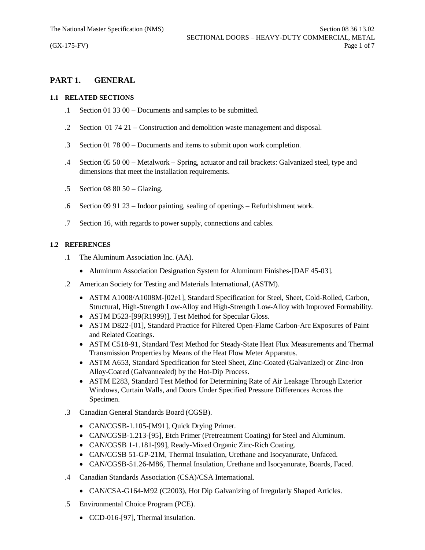# **PART 1. GENERAL**

#### **1.1 RELATED SECTIONS**

- .1 Section 01 33 00 Documents and samples to be submitted.
- .2 Section 01 74 21 Construction and demolition waste management and disposal.
- .3 Section 01 78 00 Documents and items to submit upon work completion.
- .4 Section 05 50 00 Metalwork Spring, actuator and rail brackets: Galvanized steel, type and dimensions that meet the installation requirements.
- .5 Section 08 80 50 Glazing.
- .6 Section 09 91 23 Indoor painting, sealing of openings Refurbishment work.
- .7 Section 16, with regards to power supply, connections and cables.

## **1.2 REFERENCES**

- .1 The Aluminum Association Inc. (AA).
	- Aluminum Association Designation System for Aluminum Finishes-[DAF 45-03].
- .2 American Society for Testing and Materials International, (ASTM).
	- · ASTM A1008/A1008M-[02e1], Standard Specification for Steel, Sheet, Cold-Rolled, Carbon, Structural, High-Strength Low-Alloy and High-Strength Low-Alloy with Improved Formability.
	- ASTM D523-[99(R1999)], Test Method for Specular Gloss.
	- · ASTM D822-[01], Standard Practice for Filtered Open-Flame Carbon-Arc Exposures of Paint and Related Coatings.
	- · ASTM C518-91, Standard Test Method for Steady-State Heat Flux Measurements and Thermal Transmission Properties by Means of the Heat Flow Meter Apparatus.
	- · ASTM A653, Standard Specification for Steel Sheet, Zinc-Coated (Galvanized) or Zinc-Iron Alloy-Coated (Galvannealed) by the Hot-Dip Process.
	- · ASTM E283, Standard Test Method for Determining Rate of Air Leakage Through Exterior Windows, Curtain Walls, and Doors Under Specified Pressure Differences Across the Specimen.
- .3 Canadian General Standards Board (CGSB).
	- CAN/CGSB-1.105-[M91], Quick Drying Primer.
	- · CAN/CGSB-1.213-[95], Etch Primer (Pretreatment Coating) for Steel and Aluminum.
	- · CAN/CGSB 1-1.181-[99], Ready-Mixed Organic Zinc-Rich Coating.
	- · CAN/CGSB 51-GP-21M, Thermal Insulation, Urethane and Isocyanurate, Unfaced.
	- · CAN/CGSB-51.26-M86, Thermal Insulation, Urethane and Isocyanurate, Boards, Faced.
- .4 Canadian Standards Association (CSA)/CSA International.
	- CAN/CSA-G164-M92 (C2003), Hot Dip Galvanizing of Irregularly Shaped Articles.
- .5 Environmental Choice Program (PCE).
	- CCD-016-[97], Thermal insulation.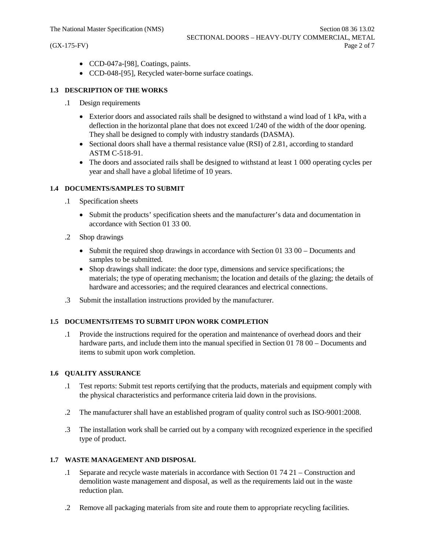- · CCD-047a-[98], Coatings, paints.
- · CCD-048-[95], Recycled water-borne surface coatings.

## **1.3 DESCRIPTION OF THE WORKS**

- .1 Design requirements
	- Exterior doors and associated rails shall be designed to withstand a wind load of 1 kPa, with a deflection in the horizontal plane that does not exceed 1/240 of the width of the door opening. They shall be designed to comply with industry standards (DASMA).
	- Sectional doors shall have a thermal resistance value (RSI) of 2.81, according to standard ASTM C-518-91.
	- The doors and associated rails shall be designed to withstand at least 1 000 operating cycles per year and shall have a global lifetime of 10 years.

## **1.4 DOCUMENTS/SAMPLES TO SUBMIT**

- .1 Specification sheets
	- · Submit the products' specification sheets and the manufacturer's data and documentation in accordance with Section 01 33 00.
- .2 Shop drawings
	- Submit the required shop drawings in accordance with Section 01 33 00 Documents and samples to be submitted.
	- · Shop drawings shall indicate: the door type, dimensions and service specifications; the materials; the type of operating mechanism; the location and details of the glazing; the details of hardware and accessories; and the required clearances and electrical connections.
- .3 Submit the installation instructions provided by the manufacturer.

#### **1.5 DOCUMENTS/ITEMS TO SUBMIT UPON WORK COMPLETION**

.1 Provide the instructions required for the operation and maintenance of overhead doors and their hardware parts, and include them into the manual specified in Section 01 78 00 – Documents and items to submit upon work completion.

#### **1.6 QUALITY ASSURANCE**

- .1 Test reports: Submit test reports certifying that the products, materials and equipment comply with the physical characteristics and performance criteria laid down in the provisions.
- .2 The manufacturer shall have an established program of quality control such as ISO-9001:2008.
- .3 The installation work shall be carried out by a company with recognized experience in the specified type of product.

#### **1.7 WASTE MANAGEMENT AND DISPOSAL**

- .1 Separate and recycle waste materials in accordance with Section 01 74 21 Construction and demolition waste management and disposal, as well as the requirements laid out in the waste reduction plan.
- .2 Remove all packaging materials from site and route them to appropriate recycling facilities.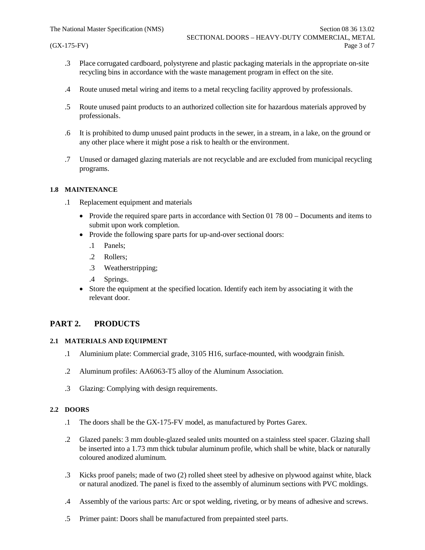- .3 Place corrugated cardboard, polystyrene and plastic packaging materials in the appropriate on-site recycling bins in accordance with the waste management program in effect on the site.
- .4 Route unused metal wiring and items to a metal recycling facility approved by professionals.
- .5 Route unused paint products to an authorized collection site for hazardous materials approved by professionals.
- .6 It is prohibited to dump unused paint products in the sewer, in a stream, in a lake, on the ground or any other place where it might pose a risk to health or the environment.
- .7 Unused or damaged glazing materials are not recyclable and are excluded from municipal recycling programs.

#### **1.8 MAINTENANCE**

- .1 Replacement equipment and materials
	- Provide the required spare parts in accordance with Section 01 78 00 Documents and items to submit upon work completion.
	- Provide the following spare parts for up-and-over sectional doors:
		- .1 Panels;
		- .2 Rollers;
		- .3 Weatherstripping;
		- .4 Springs.
	- Store the equipment at the specified location. Identify each item by associating it with the relevant door.

## **PART 2. PRODUCTS**

#### **2.1 MATERIALS AND EQUIPMENT**

- .1 Aluminium plate: Commercial grade, 3105 H16, surface-mounted, with woodgrain finish.
- .2 Aluminum profiles: AA6063-T5 alloy of the Aluminum Association.
- .3 Glazing: Complying with design requirements.

#### **2.2 DOORS**

- .1 The doors shall be the GX-175-FV model, as manufactured by Portes Garex.
- .2 Glazed panels: 3 mm double-glazed sealed units mounted on a stainless steel spacer. Glazing shall be inserted into a 1.73 mm thick tubular aluminum profile, which shall be white, black or naturally coloured anodized aluminum.
- .3 Kicks proof panels; made of two (2) rolled sheet steel by adhesive on plywood against white, black or natural anodized. The panel is fixed to the assembly of aluminum sections with PVC moldings.
- .4 Assembly of the various parts: Arc or spot welding, riveting, or by means of adhesive and screws.
- .5 Primer paint: Doors shall be manufactured from prepainted steel parts.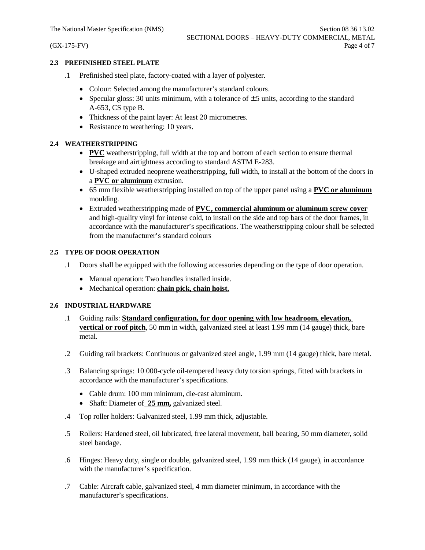#### **2.3 PREFINISHED STEEL PLATE**

- .1 Prefinished steel plate, factory-coated with a layer of polyester.
	- Colour: Selected among the manufacturer's standard colours.
	- Specular gloss: 30 units minimum, with a tolerance of  $\pm$  5 units, according to the standard A-653, CS type B.
	- Thickness of the paint layer: At least 20 micrometres.
	- Resistance to weathering: 10 years.

## **2.4 WEATHERSTRIPPING**

- · **PVC** weatherstripping, full width at the top and bottom of each section to ensure thermal breakage and airtightness according to standard ASTM E-283.
- · U-shaped extruded neoprene weatherstripping, full width, to install at the bottom of the doors in a **PVC or aluminum** extrusion.
- · 65 mm flexible weatherstripping installed on top of the upper panel using a **PVC or aluminum** moulding.
- · Extruded weatherstripping made of **PVC, commercial aluminum or aluminum screw cover** and high-quality vinyl for intense cold, to install on the side and top bars of the door frames, in accordance with the manufacturer's specifications. The weatherstripping colour shall be selected from the manufacturer's standard colours

## **2.5 TYPE OF DOOR OPERATION**

- .1 Doors shall be equipped with the following accessories depending on the type of door operation.
	- · Manual operation: Two handles installed inside.
	- · Mechanical operation: **chain pick, chain hoist.**

#### **2.6 INDUSTRIAL HARDWARE**

- .1 Guiding rails: **Standard configuration, for door opening with low headroom, elevation, vertical or roof pitch**, 50 mm in width, galvanized steel at least 1.99 mm (14 gauge) thick, bare metal.
- .2 Guiding rail brackets: Continuous or galvanized steel angle, 1.99 mm (14 gauge) thick, bare metal.
- .3 Balancing springs: 10 000-cycle oil-tempered heavy duty torsion springs, fitted with brackets in accordance with the manufacturer's specifications.
	- · Cable drum: 100 mm minimum, die-cast aluminum.
	- · Shaft: Diameter of **25 mm,** galvanized steel.
- .4 Top roller holders: Galvanized steel, 1.99 mm thick, adjustable.
- .5 Rollers: Hardened steel, oil lubricated, free lateral movement, ball bearing, 50 mm diameter, solid steel bandage.
- .6 Hinges: Heavy duty, single or double, galvanized steel, 1.99 mm thick (14 gauge), in accordance with the manufacturer's specification.
- .7 Cable: Aircraft cable, galvanized steel, 4 mm diameter minimum, in accordance with the manufacturer's specifications.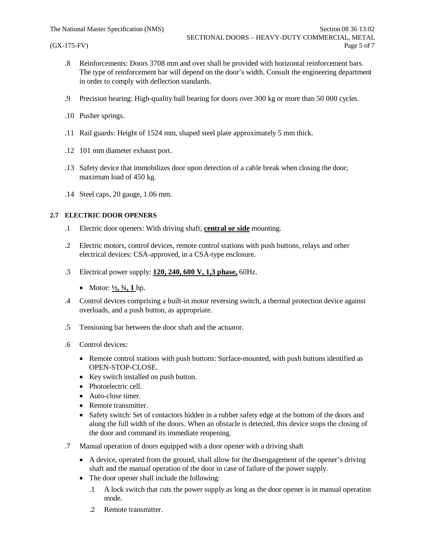- .8 Reinforcements: Doors 3708 mm and over shall be provided with horizontal reinforcement bars. The type of reinforcement bar will depend on the door's width. Consult the engineering department in order to comply with deflection standards.
- .9 Precision bearing: High-quality ball bearing for doors over 300 kg or more than 50 000 cycles.
- .10 Pusher springs.
- .11 Rail guards: Height of 1524 mm, shaped steel plate approximately 5 mm thick.
- .12 101 mm diameter exhaust port.
- .13 Safety device that immobilizes door upon detection of a cable break when closing the door; maximum load of 450 kg.
- .14 Steel caps, 20 gauge, 1.06 mm.

#### **2.7 ELECTRIC DOOR OPENERS**

- .1 Electric door openers: With driving shaft, **central or side** mounting.
- .2 Electric motors, control devices, remote control stations with push buttons, relays and other electrical devices: CSA-approved, in a CSA-type enclosure.
- .3 Electrical power supply: **120, 240, 600 V, 1,3 phase,** 60Hz.
	- Motor:  $\frac{1}{2}$ ,  $\frac{3}{4}$ , 1 hp.
- .4 Control devices comprising a built-in motor reversing switch, a thermal protection device against overloads, and a push button, as appropriate.
- .5 Tensioning bar between the door shaft and the actuator.
- .6 Control devices:
	- Remote control stations with push buttons: Surface-mounted, with push buttons identified as OPEN-STOP-CLOSE.
	- · Key switch installed on push button.
	- Photoelectric cell.
	- Auto-close timer.
	- · Remote transmitter.
	- Safety switch: Set of contactors hidden in a rubber safety edge at the bottom of the doors and along the full width of the doors. When an obstacle is detected, this device stops the closing of the door and command its immediate reopening.
- .7 Manual operation of doors equipped with a door opener with a driving shaft
	- · A device, operated from the ground, shall allow for the disengagement of the opener's driving shaft and the manual operation of the door in case of failure of the power supply.
	- The door opener shall include the following:
		- .1 A lock switch that cuts the power supply as long as the door opener is in manual operation mode.
		- .2 Remote transmitter.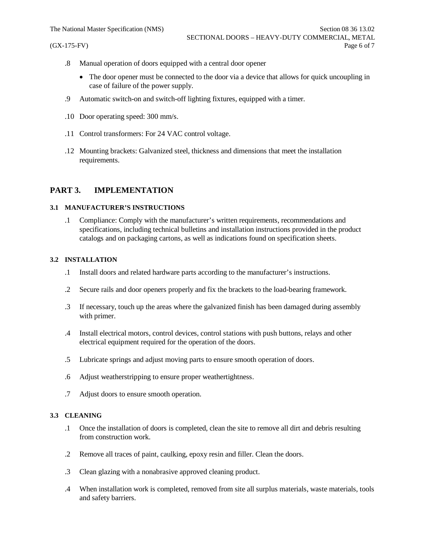- .8 Manual operation of doors equipped with a central door opener
	- · The door opener must be connected to the door via a device that allows for quick uncoupling in case of failure of the power supply.
- .9 Automatic switch-on and switch-off lighting fixtures, equipped with a timer.
- .10 Door operating speed: 300 mm/s.
- .11 Control transformers: For 24 VAC control voltage.
- .12 Mounting brackets: Galvanized steel, thickness and dimensions that meet the installation requirements.

## **PART 3. IMPLEMENTATION**

#### **3.1 MANUFACTURER'S INSTRUCTIONS**

.1 Compliance: Comply with the manufacturer's written requirements, recommendations and specifications, including technical bulletins and installation instructions provided in the product catalogs and on packaging cartons, as well as indications found on specification sheets.

#### **3.2 INSTALLATION**

- .1 Install doors and related hardware parts according to the manufacturer's instructions.
- .2 Secure rails and door openers properly and fix the brackets to the load-bearing framework.
- .3 If necessary, touch up the areas where the galvanized finish has been damaged during assembly with primer.
- .4 Install electrical motors, control devices, control stations with push buttons, relays and other electrical equipment required for the operation of the doors.
- .5 Lubricate springs and adjust moving parts to ensure smooth operation of doors.
- .6 Adjust weatherstripping to ensure proper weathertightness.
- .7 Adjust doors to ensure smooth operation.

#### **3.3 CLEANING**

- .1 Once the installation of doors is completed, clean the site to remove all dirt and debris resulting from construction work.
- .2 Remove all traces of paint, caulking, epoxy resin and filler. Clean the doors.
- .3 Clean glazing with a nonabrasive approved cleaning product.
- .4 When installation work is completed, removed from site all surplus materials, waste materials, tools and safety barriers.